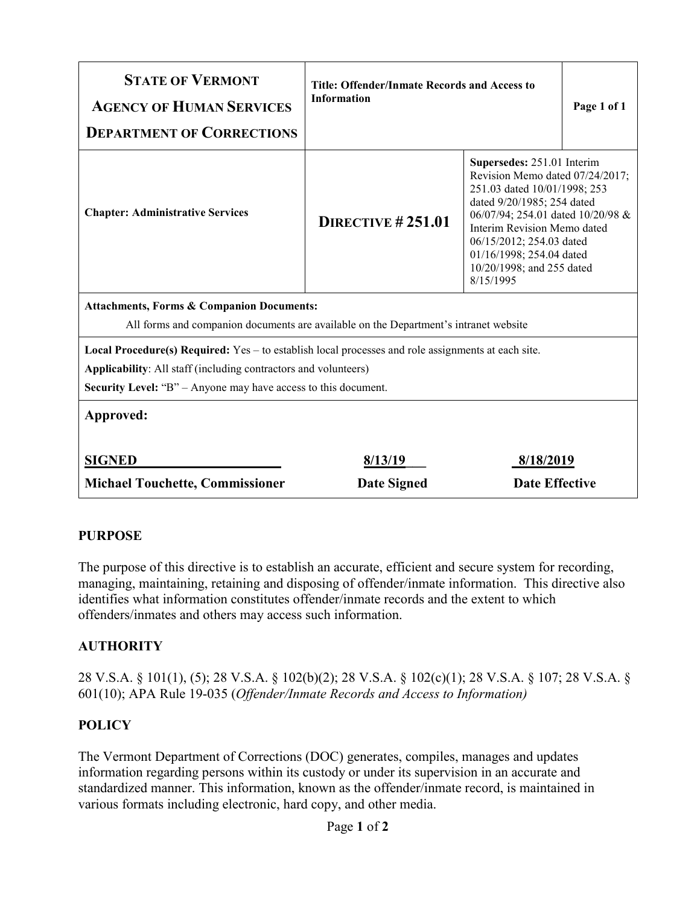| <b>STATE OF VERMONT</b><br><b>AGENCY OF HUMAN SERVICES</b><br><b>DEPARTMENT OF CORRECTIONS</b>                                                                                                                                                          | <b>Title: Offender/Inmate Records and Access to</b><br><b>Information</b> |                                                                                                                                                                                                                                                                                                   | Page 1 of 1 |
|---------------------------------------------------------------------------------------------------------------------------------------------------------------------------------------------------------------------------------------------------------|---------------------------------------------------------------------------|---------------------------------------------------------------------------------------------------------------------------------------------------------------------------------------------------------------------------------------------------------------------------------------------------|-------------|
| <b>Chapter: Administrative Services</b>                                                                                                                                                                                                                 | DIRECTIVE $#251.01$                                                       | Supersedes: 251.01 Interim<br>Revision Memo dated 07/24/2017;<br>251.03 dated 10/01/1998; 253<br>dated 9/20/1985; 254 dated<br>06/07/94; 254.01 dated 10/20/98 &<br>Interim Revision Memo dated<br>06/15/2012; 254.03 dated<br>01/16/1998; 254.04 dated<br>10/20/1998; and 255 dated<br>8/15/1995 |             |
| <b>Attachments, Forms &amp; Companion Documents:</b><br>All forms and companion documents are available on the Department's intranet website                                                                                                            |                                                                           |                                                                                                                                                                                                                                                                                                   |             |
| <b>Local Procedure(s) Required:</b> Yes $-$ to establish local processes and role assignments at each site.<br>Applicability: All staff (including contractors and volunteers)<br><b>Security Level: "B"</b> – Anyone may have access to this document. |                                                                           |                                                                                                                                                                                                                                                                                                   |             |
| Approved:                                                                                                                                                                                                                                               |                                                                           |                                                                                                                                                                                                                                                                                                   |             |
| <b>SIGNED</b>                                                                                                                                                                                                                                           | 8/13/19                                                                   | 8/18/2019                                                                                                                                                                                                                                                                                         |             |
| <b>Michael Touchette, Commissioner</b>                                                                                                                                                                                                                  | <b>Date Signed</b>                                                        | <b>Date Effective</b>                                                                                                                                                                                                                                                                             |             |

## **PURPOSE**

The purpose of this directive is to establish an accurate, efficient and secure system for recording, managing, maintaining, retaining and disposing of offender/inmate information. This directive also identifies what information constitutes offender/inmate records and the extent to which offenders/inmates and others may access such information.

## **AUTHORITY**

28 V.S.A. § 101(1), (5); 28 V.S.A. § 102(b)(2); 28 V.S.A. § 102(c)(1); 28 V.S.A. § 107; 28 V.S.A. § 601(10); APA Rule 19-035 (*Offender/Inmate Records and Access to Information)*

## **POLICY**

The Vermont Department of Corrections (DOC) generates, compiles, manages and updates information regarding persons within its custody or under its supervision in an accurate and standardized manner. This information, known as the offender/inmate record, is maintained in various formats including electronic, hard copy, and other media.